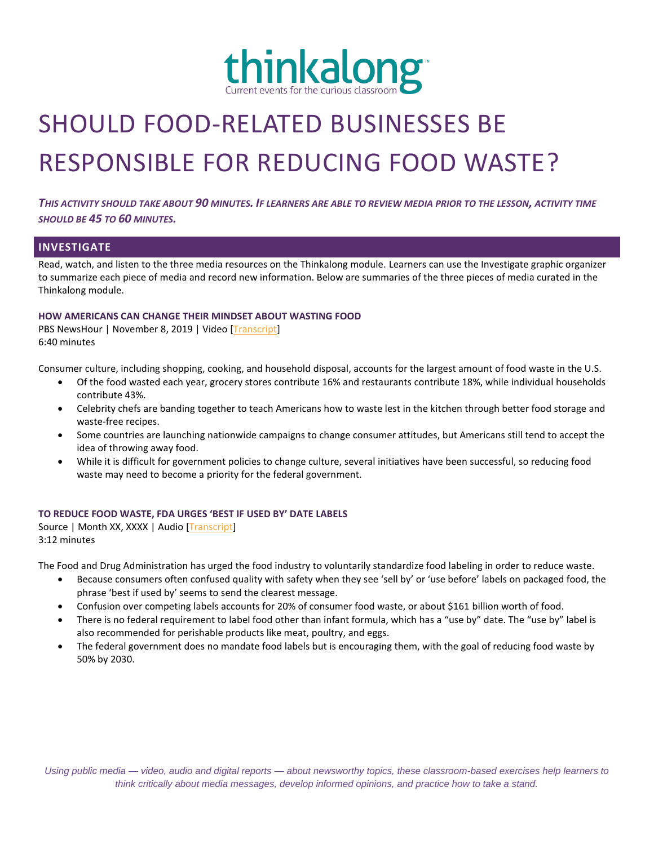

# SHOULD FOOD-RELATED BUSINESSES BE RESPONSIBLE FOR REDUCING FOOD WASTE?

*THIS ACTIVITY SHOULD TAKE ABOUT 90 MINUTES. IF LEARNERS ARE ABLE TO REVIEW MEDIA PRIOR TO THE LESSON, ACTIVITY TIME SHOULD BE 45 TO 60 MINUTES.*

## **INVESTIGATE**

Read, watch, and listen to the three media resources on the Thinkalong module. Learners can use the Investigate graphic organizer to summarize each piece of media and record new information. Below are summaries of the three pieces of media curated in the Thinkalong module.

#### **HOW AMERICANS CAN CHANGE THEIR MINDSET ABOUT WASTING FOOD**

PBS NewsHour | November 8, 2019 | Video [\[Transcript\]](https://www.pbs.org/newshour/show/how-americans-can-change-their-mindset-about-wasting-food) 6:40 minutes

Consumer culture, including shopping, cooking, and household disposal, accounts for the largest amount of food waste in the U.S.

- Of the food wasted each year, grocery stores contribute 16% and restaurants contribute 18%, while individual households contribute 43%.
- Celebrity chefs are banding together to teach Americans how to waste lest in the kitchen through better food storage and waste-free recipes.
- Some countries are launching nationwide campaigns to change consumer attitudes, but Americans still tend to accept the idea of throwing away food.
- While it is difficult for government policies to change culture, several initiatives have been successful, so reducing food waste may need to become a priority for the federal government.

### **TO REDUCE FOOD WASTE, FDA URGES 'BEST IF USED BY' DATE LABELS**

Source | Month XX, XXXX | Audio [\[Transcript\]](https://www.npr.org/transcripts/726079350) 3:12 minutes

The Food and Drug Administration has urged the food industry to voluntarily standardize food labeling in order to reduce waste.

- Because consumers often confused quality with safety when they see 'sell by' or 'use before' labels on packaged food, the phrase 'best if used by' seems to send the clearest message.
- Confusion over competing labels accounts for 20% of consumer food waste, or about \$161 billion worth of food.
- There is no federal requirement to label food other than infant formula, which has a "use by" date. The "use by" label is also recommended for perishable products like meat, poultry, and eggs.
- The federal government does no mandate food labels but is encouraging them, with the goal of reducing food waste by 50% by 2030.